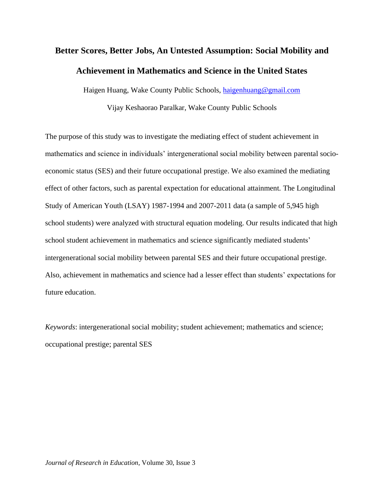# **Better Scores, Better Jobs, An Untested Assumption: Social Mobility and Achievement in Mathematics and Science in the United States**

Haigen Huang, Wake County Public Schools, [haigenhuang@gmail.com](mailto:haigenhuang@gmail.com)

Vijay Keshaorao Paralkar, Wake County Public Schools

The purpose of this study was to investigate the mediating effect of student achievement in mathematics and science in individuals' intergenerational social mobility between parental socioeconomic status (SES) and their future occupational prestige. We also examined the mediating effect of other factors, such as parental expectation for educational attainment. The Longitudinal Study of American Youth (LSAY) 1987-1994 and 2007-2011 data (a sample of 5,945 high school students) were analyzed with structural equation modeling. Our results indicated that high school student achievement in mathematics and science significantly mediated students' intergenerational social mobility between parental SES and their future occupational prestige. Also, achievement in mathematics and science had a lesser effect than students' expectations for future education.

*Keywords*: intergenerational social mobility; student achievement; mathematics and science; occupational prestige; parental SES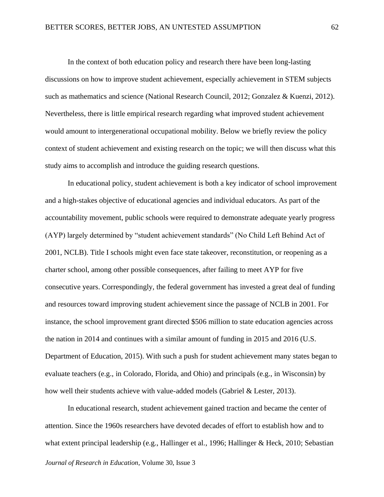In the context of both education policy and research there have been long-lasting discussions on how to improve student achievement, especially achievement in STEM subjects such as mathematics and science (National Research Council, 2012; Gonzalez & Kuenzi, 2012). Nevertheless, there is little empirical research regarding what improved student achievement would amount to intergenerational occupational mobility. Below we briefly review the policy context of student achievement and existing research on the topic; we will then discuss what this study aims to accomplish and introduce the guiding research questions.

In educational policy, student achievement is both a key indicator of school improvement and a high-stakes objective of educational agencies and individual educators. As part of the accountability movement, public schools were required to demonstrate adequate yearly progress (AYP) largely determined by "student achievement standards" (No Child Left Behind Act of 2001, NCLB). Title I schools might even face state takeover, reconstitution, or reopening as a charter school, among other possible consequences, after failing to meet AYP for five consecutive years. Correspondingly, the federal government has invested a great deal of funding and resources toward improving student achievement since the passage of NCLB in 2001. For instance, the school improvement grant directed \$506 million to state education agencies across the nation in 2014 and continues with a similar amount of funding in 2015 and 2016 (U.S. Department of Education, 2015). With such a push for student achievement many states began to evaluate teachers (e.g., in Colorado, Florida, and Ohio) and principals (e.g., in Wisconsin) by how well their students achieve with value-added models (Gabriel & Lester, 2013).

In educational research, student achievement gained traction and became the center of attention. Since the 1960s researchers have devoted decades of effort to establish how and to what extent principal leadership (e.g., Hallinger et al., 1996; Hallinger & Heck, 2010; Sebastian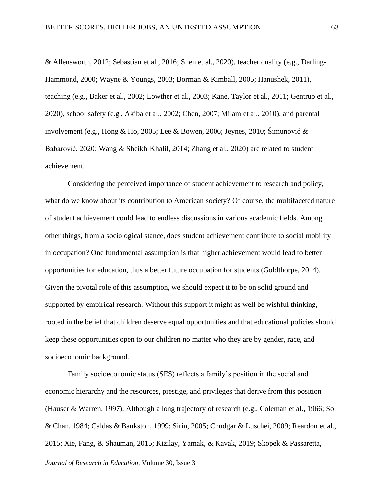& Allensworth, 2012; Sebastian et al., 2016; Shen et al., 2020), teacher quality (e.g., Darling-Hammond, 2000; Wayne & Youngs, 2003; Borman & Kimball, 2005; Hanushek, 2011), teaching (e.g., Baker et al., 2002; Lowther et al., 2003; Kane, Taylor et al., 2011; Gentrup et al., 2020), school safety (e.g., Akiba et al., 2002; Chen, 2007; Milam et al., 2010), and parental involvement (e.g., Hong & Ho, 2005; Lee & Bowen, 2006; Jeynes, 2010; Šimunović & Babarović, 2020; Wang & Sheikh‐Khalil, 2014; Zhang et al., 2020) are related to student achievement.

Considering the perceived importance of student achievement to research and policy, what do we know about its contribution to American society? Of course, the multifaceted nature of student achievement could lead to endless discussions in various academic fields. Among other things, from a sociological stance, does student achievement contribute to social mobility in occupation? One fundamental assumption is that higher achievement would lead to better opportunities for education, thus a better future occupation for students (Goldthorpe, 2014). Given the pivotal role of this assumption, we should expect it to be on solid ground and supported by empirical research. Without this support it might as well be wishful thinking, rooted in the belief that children deserve equal opportunities and that educational policies should keep these opportunities open to our children no matter who they are by gender, race, and socioeconomic background.

Family socioeconomic status (SES) reflects a family's position in the social and economic hierarchy and the resources, prestige, and privileges that derive from this position (Hauser & Warren, 1997). Although a long trajectory of research (e.g., Coleman et al., 1966; So & Chan, 1984; Caldas & Bankston, 1999; Sirin, 2005; Chudgar & Luschei, 2009; Reardon et al., 2015; Xie, Fang, & Shauman, 2015; Kizilay, Yamak, & Kavak, 2019; Skopek & Passaretta,

*Journal of Research in Education*, Volume 30, Issue 3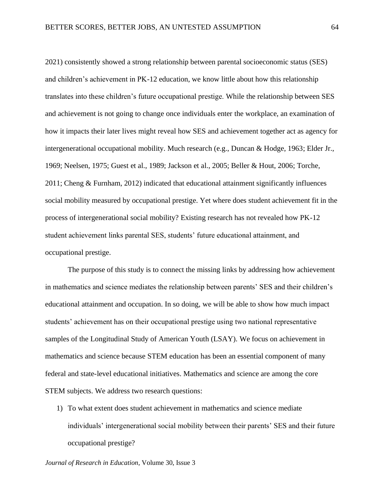2021) consistently showed a strong relationship between parental socioeconomic status (SES) and children's achievement in PK-12 education, we know little about how this relationship translates into these children's future occupational prestige. While the relationship between SES and achievement is not going to change once individuals enter the workplace, an examination of how it impacts their later lives might reveal how SES and achievement together act as agency for intergenerational occupational mobility. Much research (e.g., Duncan & Hodge, 1963; Elder Jr., 1969; Neelsen, 1975; Guest et al., 1989; Jackson et al., 2005; Beller & Hout, 2006; Torche, 2011; Cheng & Furnham, 2012) indicated that educational attainment significantly influences social mobility measured by occupational prestige. Yet where does student achievement fit in the process of intergenerational social mobility? Existing research has not revealed how PK-12 student achievement links parental SES, students' future educational attainment, and occupational prestige.

The purpose of this study is to connect the missing links by addressing how achievement in mathematics and science mediates the relationship between parents' SES and their children's educational attainment and occupation. In so doing, we will be able to show how much impact students' achievement has on their occupational prestige using two national representative samples of the Longitudinal Study of American Youth (LSAY). We focus on achievement in mathematics and science because STEM education has been an essential component of many federal and state-level educational initiatives. Mathematics and science are among the core STEM subjects. We address two research questions:

1) To what extent does student achievement in mathematics and science mediate individuals' intergenerational social mobility between their parents' SES and their future occupational prestige?

*Journal of Research in Education*, Volume 30, Issue 3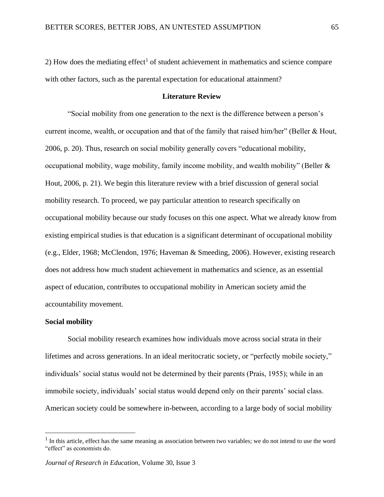2) How does the mediating effect<sup>1</sup> of student achievement in mathematics and science compare with other factors, such as the parental expectation for educational attainment?

#### **Literature Review**

"Social mobility from one generation to the next is the difference between a person's current income, wealth, or occupation and that of the family that raised him/her" (Beller & Hout, 2006, p. 20). Thus, research on social mobility generally covers "educational mobility, occupational mobility, wage mobility, family income mobility, and wealth mobility" (Beller & Hout, 2006, p. 21). We begin this literature review with a brief discussion of general social mobility research. To proceed, we pay particular attention to research specifically on occupational mobility because our study focuses on this one aspect. What we already know from existing empirical studies is that education is a significant determinant of occupational mobility (e.g., Elder, 1968; McClendon, 1976; Haveman & Smeeding, 2006). However, existing research does not address how much student achievement in mathematics and science, as an essential aspect of education, contributes to occupational mobility in American society amid the accountability movement.

#### **Social mobility**

Social mobility research examines how individuals move across social strata in their lifetimes and across generations. In an ideal meritocratic society, or "perfectly mobile society," individuals' social status would not be determined by their parents (Prais, 1955); while in an immobile society, individuals' social status would depend only on their parents' social class. American society could be somewhere in-between, according to a large body of social mobility

<sup>&</sup>lt;sup>1</sup> In this article, effect has the same meaning as association between two variables; we do not intend to use the word "effect" as economists do.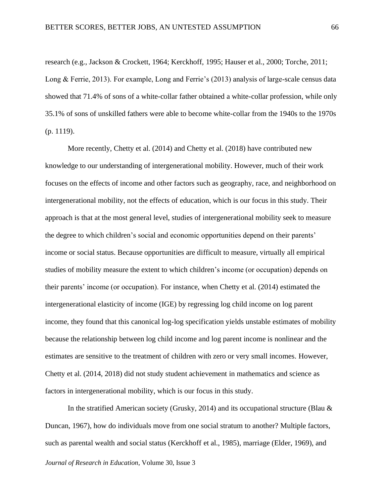research (e.g., Jackson & Crockett, 1964; Kerckhoff, 1995; Hauser et al., 2000; Torche, 2011; Long & Ferrie, 2013). For example, Long and Ferrie's (2013) analysis of large-scale census data showed that 71.4% of sons of a white-collar father obtained a white-collar profession, while only 35.1% of sons of unskilled fathers were able to become white-collar from the 1940s to the 1970s (p. 1119).

More recently, Chetty et al. (2014) and Chetty et al. (2018) have contributed new knowledge to our understanding of intergenerational mobility. However, much of their work focuses on the effects of income and other factors such as geography, race, and neighborhood on intergenerational mobility, not the effects of education, which is our focus in this study. Their approach is that at the most general level, studies of intergenerational mobility seek to measure the degree to which children's social and economic opportunities depend on their parents' income or social status. Because opportunities are difficult to measure, virtually all empirical studies of mobility measure the extent to which children's income (or occupation) depends on their parents' income (or occupation). For instance, when Chetty et al. (2014) estimated the intergenerational elasticity of income (IGE) by regressing log child income on log parent income, they found that this canonical log-log specification yields unstable estimates of mobility because the relationship between log child income and log parent income is nonlinear and the estimates are sensitive to the treatment of children with zero or very small incomes. However, Chetty et al. (2014, 2018) did not study student achievement in mathematics and science as factors in intergenerational mobility, which is our focus in this study.

In the stratified American society (Grusky, 2014) and its occupational structure (Blau  $\&$ Duncan, 1967), how do individuals move from one social stratum to another? Multiple factors, such as parental wealth and social status (Kerckhoff et al., 1985), marriage (Elder, 1969), and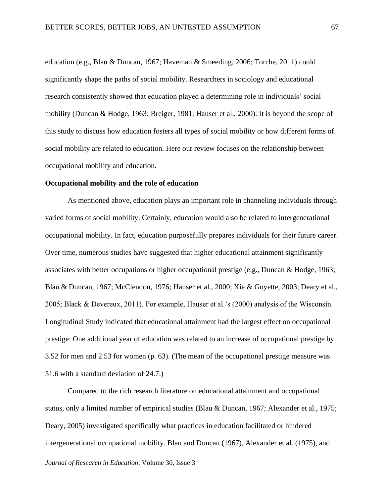education (e.g., Blau & Duncan, 1967; Haveman & Smeeding, 2006; Torche, 2011) could significantly shape the paths of social mobility. Researchers in sociology and educational research consistently showed that education played a determining role in individuals' social mobility (Duncan & Hodge, 1963; Breiger, 1981; Hauser et al., 2000). It is beyond the scope of this study to discuss how education fosters all types of social mobility or how different forms of social mobility are related to education. Here our review focuses on the relationship between occupational mobility and education.

## **Occupational mobility and the role of education**

As mentioned above, education plays an important role in channeling individuals through varied forms of social mobility. Certainly, education would also be related to intergenerational occupational mobility. In fact, education purposefully prepares individuals for their future career. Over time, numerous studies have suggested that higher educational attainment significantly associates with better occupations or higher occupational prestige (e.g., Duncan & Hodge, 1963; Blau & Duncan, 1967; McClendon, 1976; Hauser et al., 2000; Xie & Goyette, 2003; Deary et al., 2005; Black & Devereux, 2011). For example, Hauser et al.'s (2000) analysis of the Wisconsin Longitudinal Study indicated that educational attainment had the largest effect on occupational prestige: One additional year of education was related to an increase of occupational prestige by 3.52 for men and 2.53 for women (p. 63). (The mean of the occupational prestige measure was 51.6 with a standard deviation of 24.7.)

Compared to the rich research literature on educational attainment and occupational status, only a limited number of empirical studies (Blau & Duncan, 1967; Alexander et al., 1975; Deary, 2005) investigated specifically what practices in education facilitated or hindered intergenerational occupational mobility. Blau and Duncan (1967), Alexander et al. (1975), and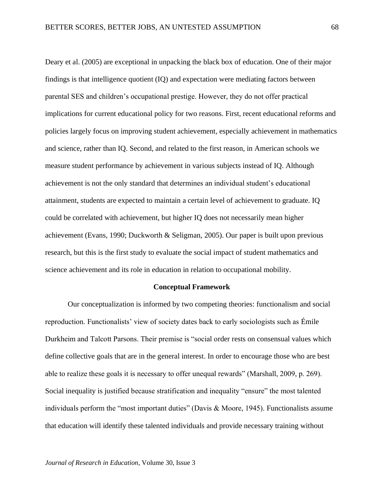Deary et al. (2005) are exceptional in unpacking the black box of education. One of their major findings is that intelligence quotient (IQ) and expectation were mediating factors between parental SES and children's occupational prestige. However, they do not offer practical implications for current educational policy for two reasons. First, recent educational reforms and policies largely focus on improving student achievement, especially achievement in mathematics and science, rather than IQ. Second, and related to the first reason, in American schools we measure student performance by achievement in various subjects instead of IQ. Although achievement is not the only standard that determines an individual student's educational attainment, students are expected to maintain a certain level of achievement to graduate. IQ could be correlated with achievement, but higher IQ does not necessarily mean higher achievement (Evans, 1990; Duckworth & Seligman, 2005). Our paper is built upon previous research, but this is the first study to evaluate the social impact of student mathematics and science achievement and its role in education in relation to occupational mobility.

#### **Conceptual Framework**

Our conceptualization is informed by two competing theories: functionalism and social reproduction. Functionalists' view of society dates back to early sociologists such as Émile Durkheim and Talcott Parsons. Their premise is "social order rests on consensual values which define collective goals that are in the general interest. In order to encourage those who are best able to realize these goals it is necessary to offer unequal rewards" (Marshall, 2009, p. 269). Social inequality is justified because stratification and inequality "ensure" the most talented individuals perform the "most important duties" (Davis & Moore, 1945). Functionalists assume that education will identify these talented individuals and provide necessary training without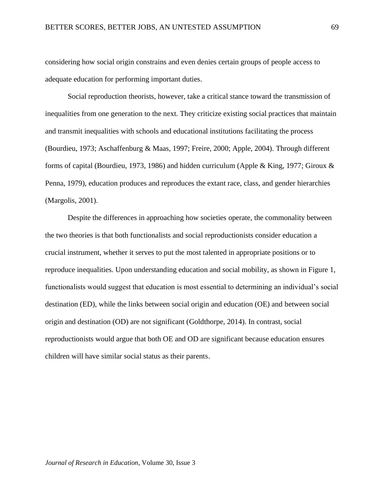considering how social origin constrains and even denies certain groups of people access to adequate education for performing important duties.

Social reproduction theorists, however, take a critical stance toward the transmission of inequalities from one generation to the next. They criticize existing social practices that maintain and transmit inequalities with schools and educational institutions facilitating the process (Bourdieu, 1973; Aschaffenburg & Maas, 1997; Freire, 2000; Apple, 2004). Through different forms of capital (Bourdieu, 1973, 1986) and hidden curriculum (Apple & King, 1977; Giroux & Penna, 1979), education produces and reproduces the extant race, class, and gender hierarchies (Margolis, 2001).

Despite the differences in approaching how societies operate, the commonality between the two theories is that both functionalists and social reproductionists consider education a crucial instrument, whether it serves to put the most talented in appropriate positions or to reproduce inequalities. Upon understanding education and social mobility, as shown in Figure 1, functionalists would suggest that education is most essential to determining an individual's social destination (ED), while the links between social origin and education (OE) and between social origin and destination (OD) are not significant (Goldthorpe, 2014). In contrast, social reproductionists would argue that both OE and OD are significant because education ensures children will have similar social status as their parents.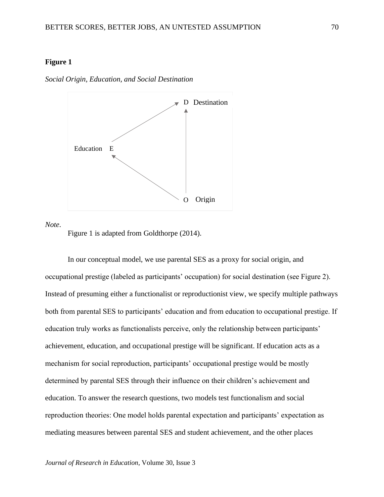## **Figure 1**



*Social Origin, Education, and Social Destination*

*Note*.

Figure 1 is adapted from Goldthorpe (2014).

In our conceptual model, we use parental SES as a proxy for social origin, and occupational prestige (labeled as participants' occupation) for social destination (see Figure 2). Instead of presuming either a functionalist or reproductionist view, we specify multiple pathways both from parental SES to participants' education and from education to occupational prestige. If education truly works as functionalists perceive, only the relationship between participants' achievement, education, and occupational prestige will be significant. If education acts as a mechanism for social reproduction, participants' occupational prestige would be mostly determined by parental SES through their influence on their children's achievement and education. To answer the research questions, two models test functionalism and social reproduction theories: One model holds parental expectation and participants' expectation as mediating measures between parental SES and student achievement, and the other places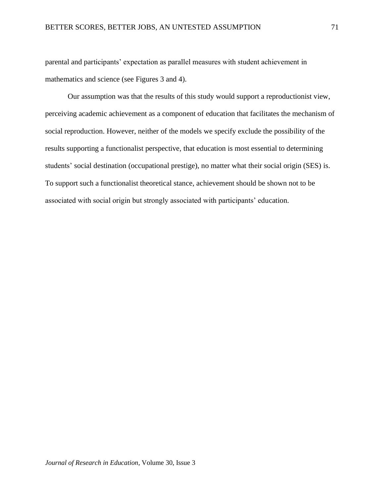parental and participants' expectation as parallel measures with student achievement in mathematics and science (see Figures 3 and 4).

Our assumption was that the results of this study would support a reproductionist view, perceiving academic achievement as a component of education that facilitates the mechanism of social reproduction. However, neither of the models we specify exclude the possibility of the results supporting a functionalist perspective, that education is most essential to determining students' social destination (occupational prestige), no matter what their social origin (SES) is. To support such a functionalist theoretical stance, achievement should be shown not to be associated with social origin but strongly associated with participants' education.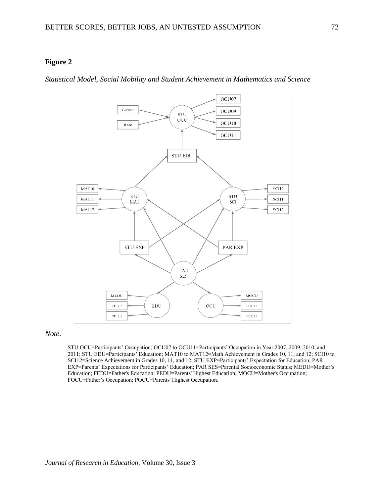## **Figure 2**

*Statistical Model, Social Mobility and Student Achievement in Mathematics and Science*



#### *Note*.

STU OCU=Participants' Occupation; OCU07 to OCU11=Participants' Occupation in Year 2007, 2009, 2010, and 2011; STU EDU=Participants' Education; MAT10 to MAT12=Math Achievement in Grades 10, 11, and 12; SCI10 to SCI12=Science Achievement in Grades 10, 11, and 12; STU EXP=Participants' Expectation for Education; PAR EXP=Parents' Expectations for Participants' Education; PAR SES=Parental Socioeconomic Status; MEDU=Mother's Education; FEDU=Father's Education; PEDU=Parents' Highest Education; MOCU=Mother's Occupation; FOCU=Father's Occupation; POCU=Parents' Highest Occupation.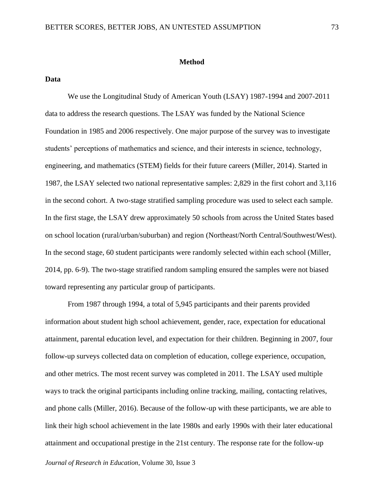#### **Method**

#### **Data**

We use the Longitudinal Study of American Youth (LSAY) 1987-1994 and 2007-2011 data to address the research questions. The LSAY was funded by the National Science Foundation in 1985 and 2006 respectively. One major purpose of the survey was to investigate students' perceptions of mathematics and science, and their interests in science, technology, engineering, and mathematics (STEM) fields for their future careers (Miller, 2014). Started in 1987, the LSAY selected two national representative samples: 2,829 in the first cohort and 3,116 in the second cohort. A two-stage stratified sampling procedure was used to select each sample. In the first stage, the LSAY drew approximately 50 schools from across the United States based on school location (rural/urban/suburban) and region (Northeast/North Central/Southwest/West). In the second stage, 60 student participants were randomly selected within each school (Miller, 2014, pp. 6-9). The two-stage stratified random sampling ensured the samples were not biased toward representing any particular group of participants.

From 1987 through 1994, a total of 5,945 participants and their parents provided information about student high school achievement, gender, race, expectation for educational attainment, parental education level, and expectation for their children. Beginning in 2007, four follow-up surveys collected data on completion of education, college experience, occupation, and other metrics. The most recent survey was completed in 2011. The LSAY used multiple ways to track the original participants including online tracking, mailing, contacting relatives, and phone calls (Miller, 2016). Because of the follow-up with these participants, we are able to link their high school achievement in the late 1980s and early 1990s with their later educational attainment and occupational prestige in the 21st century. The response rate for the follow-up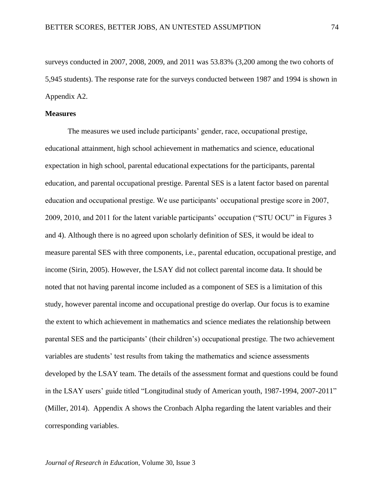surveys conducted in 2007, 2008, 2009, and 2011 was 53.83% (3,200 among the two cohorts of 5,945 students). The response rate for the surveys conducted between 1987 and 1994 is shown in Appendix A2.

## **Measures**

The measures we used include participants' gender, race, occupational prestige, educational attainment, high school achievement in mathematics and science, educational expectation in high school, parental educational expectations for the participants, parental education, and parental occupational prestige. Parental SES is a latent factor based on parental education and occupational prestige. We use participants' occupational prestige score in 2007, 2009, 2010, and 2011 for the latent variable participants' occupation ("STU OCU" in Figures 3 and 4). Although there is no agreed upon scholarly definition of SES, it would be ideal to measure parental SES with three components, i.e., parental education, occupational prestige, and income (Sirin, 2005). However, the LSAY did not collect parental income data. It should be noted that not having parental income included as a component of SES is a limitation of this study, however parental income and occupational prestige do overlap. Our focus is to examine the extent to which achievement in mathematics and science mediates the relationship between parental SES and the participants' (their children's) occupational prestige. The two achievement variables are students' test results from taking the mathematics and science assessments developed by the LSAY team. The details of the assessment format and questions could be found in the LSAY users' guide titled "Longitudinal study of American youth, 1987-1994, 2007-2011" (Miller, 2014). Appendix A shows the Cronbach Alpha regarding the latent variables and their corresponding variables.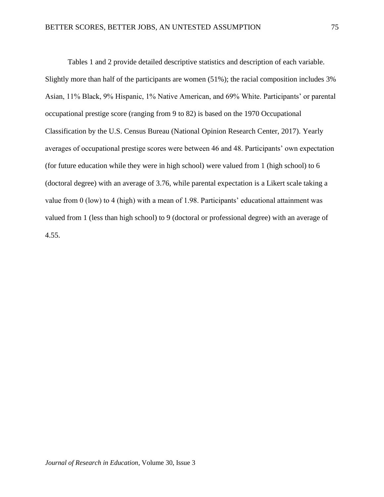Tables 1 and 2 provide detailed descriptive statistics and description of each variable. Slightly more than half of the participants are women (51%); the racial composition includes 3% Asian, 11% Black, 9% Hispanic, 1% Native American, and 69% White. Participants' or parental occupational prestige score (ranging from 9 to 82) is based on the 1970 Occupational Classification by the U.S. Census Bureau (National Opinion Research Center, 2017). Yearly averages of occupational prestige scores were between 46 and 48. Participants' own expectation (for future education while they were in high school) were valued from 1 (high school) to 6 (doctoral degree) with an average of 3.76, while parental expectation is a Likert scale taking a value from 0 (low) to 4 (high) with a mean of 1.98. Participants' educational attainment was valued from 1 (less than high school) to 9 (doctoral or professional degree) with an average of 4.55.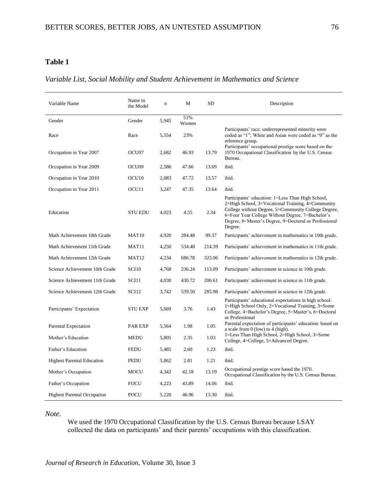## **Table 1**

## *Variable List, Social Mobility and Student Achievement in Mathematics and Science*

| Variable Name                      | Name in<br>the Model | $\boldsymbol{n}$ | М            | <b>SD</b> | Description                                                                                                                                                                                                                                                                           |
|------------------------------------|----------------------|------------------|--------------|-----------|---------------------------------------------------------------------------------------------------------------------------------------------------------------------------------------------------------------------------------------------------------------------------------------|
| Gender                             | Gender               | 5,945            | 51%<br>Women |           |                                                                                                                                                                                                                                                                                       |
| Race                               | Race                 | 5,554            | 23%          |           | Participants' race: underrepresented minority were<br>coded as "1"; White and Asian were coded as "0" as the<br>reference group.<br>Participants' occupational prestige score based on the                                                                                            |
| Occupation in Year 2007            | OCU <sub>07</sub>    | 2,682            | 46.93        | 13.79     | 1970 Occupational Classification by the U.S. Census<br>Bureau.                                                                                                                                                                                                                        |
| Occupation in Year 2009            | OCU <sub>09</sub>    | 2,586            | 47.66        | 13.69     | ibid.                                                                                                                                                                                                                                                                                 |
| Occupation in Year 2010            | OCU <sub>10</sub>    | 2,083            | 47.72        | 13.57     | ibid.                                                                                                                                                                                                                                                                                 |
| Occupation in Year 2011            | OCU <sub>11</sub>    | 3,247            | 47.35        | 13.64     | ibid.                                                                                                                                                                                                                                                                                 |
| Education                          | <b>STU EDU</b>       | 4,023            | 4.55         | 2.34      | Participants' education: 1=Less Than High School,<br>2=High School, 3=Vocational Training, 4=Community<br>College without Degree, 5=Community College Degree,<br>6=Four Year College Without Degree, 7=Bachelor's<br>Degree, 8=Master's Degree, 9=Doctoral or Professional<br>Degree. |
| Math Achievement 10th Grade        | MAT <sub>10</sub>    | 4,920            | 284.48       | 99.37     | Participants' achievement in mathematics in 10th grade.                                                                                                                                                                                                                               |
| Math Achievement 11th Grade        | MAT11                | 4,250            | 534.48       | 214.39    | Participants' achievement in mathematics in 11th grade.                                                                                                                                                                                                                               |
| Math Achievement 12th Grade        | MAT <sub>12</sub>    | 4,234            | 686.78       | 323.06    | Participants' achievement in mathematics in 12th grade.                                                                                                                                                                                                                               |
| Science Achievement 10th Grade     | <b>SCI10</b>         | 4,768            | 236.24       | 113.09    | Participants' achievement in science in 10th grade.                                                                                                                                                                                                                                   |
| Science Achievement 11th Grade     | SCI11                | 4,030            | 430.72       | 206.61    | Participants' achievement in science in 11th grade.                                                                                                                                                                                                                                   |
| Science Achievement 12th Grade     | SCI12                | 3,742            | 539.50       | 285.98    | Participants' achievement in science in 12th grade.                                                                                                                                                                                                                                   |
| Participants' Expectation          | <b>STU EXP</b>       | 5,669            | 3.76         | 1.43      | Participants' educational expectations in high school:<br>1=High School Only, 2=Vocational Training, 3=Some<br>College, 4=Bachelor's Degree, 5=Master's, 6=Doctoral<br>or Professional                                                                                                |
| Parental Expectation               | PAR EXP              | 5,564            | 1.98         | 1.05      | Parental expectation of participants' education: based on<br>a scale from $0$ (low) to $4$ (high).                                                                                                                                                                                    |
| Mother's Education                 | <b>MEDU</b>          | 5,805            | 2.35         | 1.03      | 1=Less Than High School, 2=High School, 3=Some<br>College, 4=College, 5=Advanced Degree.                                                                                                                                                                                              |
| Father's Education                 | <b>FEDU</b>          | 5,485            | 2.60         | 1.23      | ibid.                                                                                                                                                                                                                                                                                 |
| <b>Highest Parental Education</b>  | PEDU                 | 5,862            | 2.81         | 1.21      | ibid.                                                                                                                                                                                                                                                                                 |
| Mother's Occupation                | MOCU                 | 4,342            | 42.18        | 13.19     | Occupational prestige score based the 1970.<br>Occupational Classification by the U.S. Census Bureau.                                                                                                                                                                                 |
| Father's Occupation                | <b>FOCU</b>          | 4,223            | 43.89        | 14.06     | ibid.                                                                                                                                                                                                                                                                                 |
| <b>Highest Parental Occupation</b> | <b>POCU</b>          | 5,220            | 46.96        | 13.30     | ibid.                                                                                                                                                                                                                                                                                 |

*Note*.

We used the 1970 Occupational Classification by the U.S. Census Bureau because LSAY collected the data on participants' and their parents' occupations with this classification.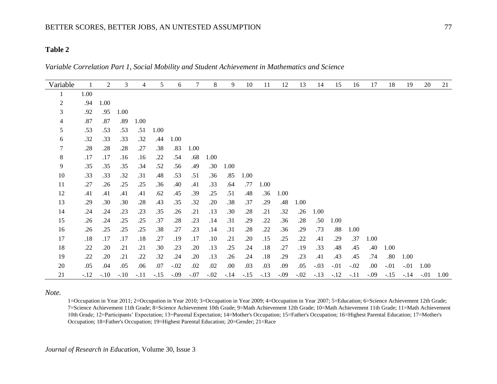## **Table 2**

*Variable Correlation Part 1, Social Mobility and Student Achievement in Mathematics and Science*

| Variable       | $\mathbf{1}$ | 2      | 3      | 4      | 5      | 6      | $\tau$ | 8      | 9      | 10     | 11     | 12     | 13     | 14     | 15     | 16     | 17     | 18     | 19     | 20     | 21   |
|----------------|--------------|--------|--------|--------|--------|--------|--------|--------|--------|--------|--------|--------|--------|--------|--------|--------|--------|--------|--------|--------|------|
|                | 1.00         |        |        |        |        |        |        |        |        |        |        |        |        |        |        |        |        |        |        |        |      |
| $\overline{2}$ | .94          | 1.00   |        |        |        |        |        |        |        |        |        |        |        |        |        |        |        |        |        |        |      |
| 3              | .92          | .95    | 1.00   |        |        |        |        |        |        |        |        |        |        |        |        |        |        |        |        |        |      |
| 4              | .87          | .87    | .89    | 1.00   |        |        |        |        |        |        |        |        |        |        |        |        |        |        |        |        |      |
| 5              | .53          | .53    | .53    | .51    | 1.00   |        |        |        |        |        |        |        |        |        |        |        |        |        |        |        |      |
| 6              | .32          | .33    | .33    | .32    | .44    | 1.00   |        |        |        |        |        |        |        |        |        |        |        |        |        |        |      |
| $\tau$         | .28          | .28    | .28    | .27    | .38    | .83    | 1.00   |        |        |        |        |        |        |        |        |        |        |        |        |        |      |
| $8\,$          | .17          | .17    | .16    | .16    | .22    | .54    | .68    | 1.00   |        |        |        |        |        |        |        |        |        |        |        |        |      |
| 9              | .35          | .35    | .35    | .34    | .52    | .56    | .49    | .30    | 1.00   |        |        |        |        |        |        |        |        |        |        |        |      |
| 10             | .33          | .33    | .32    | .31    | .48    | .53    | .51    | .36    | .85    | 1.00   |        |        |        |        |        |        |        |        |        |        |      |
| 11             | .27          | .26    | .25    | .25    | .36    | .40    | .41    | .33    | .64    | .77    | 1.00   |        |        |        |        |        |        |        |        |        |      |
| 12             | .41          | .41    | .41    | .41    | .62    | .45    | .39    | .25    | .51    | .48    | .36    | 1.00   |        |        |        |        |        |        |        |        |      |
| 13             | .29          | .30    | .30    | .28    | .43    | .35    | .32    | .20    | .38    | .37    | .29    | .48    | 1.00   |        |        |        |        |        |        |        |      |
| 14             | .24          | .24    | .23    | .23    | .35    | .26    | .21    | .13    | .30    | .28    | .21    | .32    | .26    | 1.00   |        |        |        |        |        |        |      |
| 15             | .26          | .24    | .25    | .25    | .37    | .28    | .23    | .14    | .31    | .29    | .22    | .36    | .28    | .50    | 1.00   |        |        |        |        |        |      |
| 16             | .26          | .25    | .25    | .25    | .38    | .27    | .23    | .14    | .31    | .28    | .22    | .36    | .29    | .73    | .88    | 1.00   |        |        |        |        |      |
| 17             | .18          | .17    | .17    | .18    | .27    | .19    | .17    | .10    | .21    | .20    | .15    | .25    | .22    | .41    | .29    | .37    | 1.00   |        |        |        |      |
| 18             | .22          | .20    | .21    | .21    | .30    | .23    | .20    | .13    | .25    | .24    | .18    | .27    | .19    | .33    | .48    | .45    | .40    | 1.00   |        |        |      |
| 19             | .22          | .20    | .21    | .22    | .32    | .24    | .20    | .13    | .26    | .24    | .18    | .29    | .23    | .41    | .43    | .45    | .74    | .80    | 1.00   |        |      |
| 20             | .05          | .04    | .05    | .06    | .07    | $-.02$ | .02    | .02    | .00.   | .03    | .03    | .09    | .05    | $-.03$ | $-.01$ | $-.02$ | .00.   | $-.01$ | $-.01$ | 1.00   |      |
| 21             | $-.12$       | $-.10$ | $-.10$ | $-.11$ | $-.15$ | $-.09$ | $-.07$ | $-.02$ | $-.14$ | $-.15$ | $-.13$ | $-.09$ | $-.02$ | $-.13$ | $-.12$ | $-.11$ | $-.09$ | $-.15$ | $-.14$ | $-.01$ | 1.00 |

*Note.* 

1=Occupation in Year 2011; 2=Occupation in Year 2010; 3=Occupation in Year 2009; 4=Occupation in Year 2007; 5=Education; 6=Science Achievement 12th Grade; 7=Science Achievement 11th Grade; 8=Science Achievement 10th Grade; 9=Math Achievement 12th Grade; 10=Math Achievement 11th Grade; 11=Math Achievement 10th Grade; 12=Participants' Expectation; 13=Parental Expectation; 14=Mother's Occupation; 15=Father's Occupation; 16=Highest Parental Education; 17=Mother's Occupation; 18=Father's Occupation; 19=Highest Parental Education; 20=Gender; 21=Race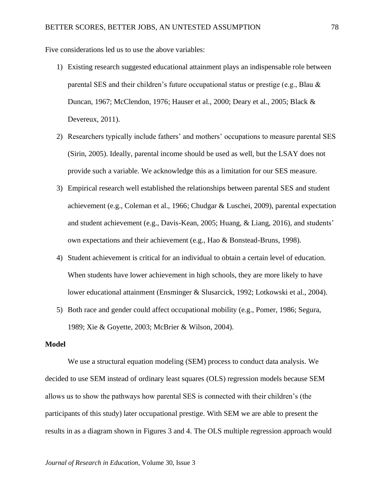Five considerations led us to use the above variables:

- 1) Existing research suggested educational attainment plays an indispensable role between parental SES and their children's future occupational status or prestige (e.g., Blau & Duncan, 1967; McClendon, 1976; Hauser et al., 2000; Deary et al., 2005; Black & Devereux, 2011).
- 2) Researchers typically include fathers' and mothers' occupations to measure parental SES (Sirin, 2005). Ideally, parental income should be used as well, but the LSAY does not provide such a variable. We acknowledge this as a limitation for our SES measure.
- 3) Empirical research well established the relationships between parental SES and student achievement (e.g., Coleman et al., 1966; Chudgar & Luschei, 2009), parental expectation and student achievement (e.g., Davis-Kean, 2005; Huang, & Liang, 2016), and students' own expectations and their achievement (e.g., Hao & Bonstead-Bruns, 1998).
- 4) Student achievement is critical for an individual to obtain a certain level of education. When students have lower achievement in high schools, they are more likely to have lower educational attainment (Ensminger & Slusarcick, 1992; Lotkowski et al., 2004).
- 5) Both race and gender could affect occupational mobility (e.g., Pomer, 1986; Segura, 1989; Xie & Goyette, 2003; McBrier & Wilson, 2004).

#### **Model**

We use a structural equation modeling (SEM) process to conduct data analysis. We decided to use SEM instead of ordinary least squares (OLS) regression models because SEM allows us to show the pathways how parental SES is connected with their children's (the participants of this study) later occupational prestige. With SEM we are able to present the results in as a diagram shown in Figures 3 and 4. The OLS multiple regression approach would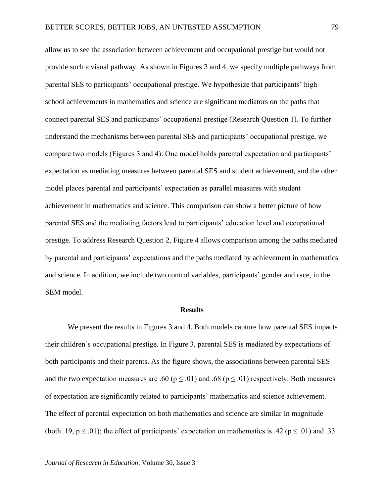allow us to see the association between achievement and occupational prestige but would not provide such a visual pathway. As shown in Figures 3 and 4, we specify multiple pathways from parental SES to participants' occupational prestige. We hypothesize that participants' high school achievements in mathematics and science are significant mediators on the paths that connect parental SES and participants' occupational prestige (Research Question 1). To further understand the mechanisms between parental SES and participants' occupational prestige, we compare two models (Figures 3 and 4): One model holds parental expectation and participants' expectation as mediating measures between parental SES and student achievement, and the other model places parental and participants' expectation as parallel measures with student achievement in mathematics and science. This comparison can show a better picture of how parental SES and the mediating factors lead to participants' education level and occupational prestige. To address Research Question 2, Figure 4 allows comparison among the paths mediated by parental and participants' expectations and the paths mediated by achievement in mathematics and science. In addition, we include two control variables, participants' gender and race, in the SEM model.

#### **Results**

We present the results in Figures 3 and 4. Both models capture how parental SES impacts their children's occupational prestige. In Figure 3, parental SES is mediated by expectations of both participants and their parents. As the figure shows, the associations between parental SES and the two expectation measures are .60 ( $p \le 0.01$ ) and .68 ( $p \le 0.01$ ) respectively. Both measures of expectation are significantly related to participants' mathematics and science achievement. The effect of parental expectation on both mathematics and science are similar in magnitude (both .19,  $p \le 0.01$ ); the effect of participants' expectation on mathematics is .42 ( $p \le 0.01$ ) and .33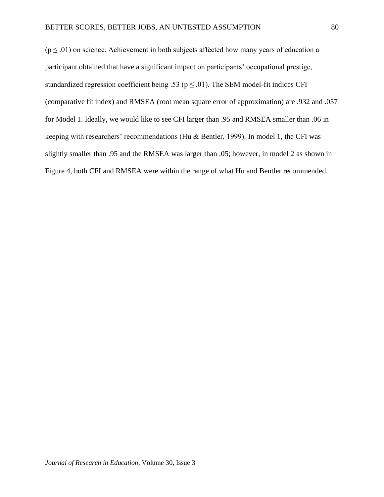$(p \le 0.01)$  on science. Achievement in both subjects affected how many years of education a participant obtained that have a significant impact on participants' occupational prestige, standardized regression coefficient being .53 ( $p \le 0.01$ ). The SEM model-fit indices CFI (comparative fit index) and RMSEA (root mean square error of approximation) are .932 and .057 for Model 1. Ideally, we would like to see CFI larger than .95 and RMSEA smaller than .06 in keeping with researchers' recommendations (Hu & Bentler, 1999). In model 1, the CFI was slightly smaller than .95 and the RMSEA was larger than .05; however, in model 2 as shown in Figure 4, both CFI and RMSEA were within the range of what Hu and Bentler recommended.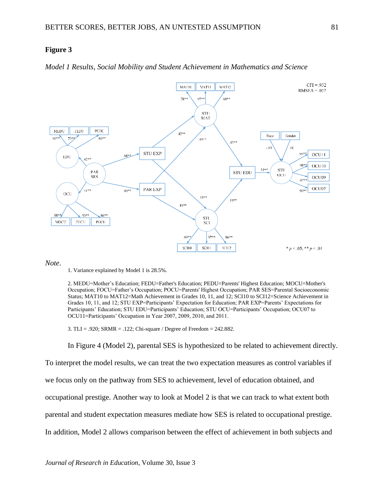## **Figure 3**





#### *Note*.

2. MEDU=Mother's Education; FEDU=Father's Education; PEDU=Parents' Highest Education; MOCU=Mother's Occupation; FOCU=Father's Occupation; POCU=Parents' Highest Occupation; PAR SES=Parental Socioeconomic Status; MAT10 to MAT12=Math Achievement in Grades 10, 11, and 12; SCI10 to SCI12=Science Achievement in Grades 10, 11, and 12; STU EXP=Participants' Expectation for Education; PAR EXP=Parents' Expectations for Participants' Education; STU EDU=Participants' Education; STU OCU=Participants' Occupation; OCU07 to OCU11=Participants' Occupation in Year 2007, 2009, 2010, and 2011.

3. TLI = .920; SRMR = .122; Chi-square / Degree of Freedom = 242.882.

In Figure 4 (Model 2), parental SES is hypothesized to be related to achievement directly.

To interpret the model results, we can treat the two expectation measures as control variables if we focus only on the pathway from SES to achievement, level of education obtained, and occupational prestige. Another way to look at Model 2 is that we can track to what extent both parental and student expectation measures mediate how SES is related to occupational prestige. In addition, Model 2 allows comparison between the effect of achievement in both subjects and

<sup>1.</sup> Variance explained by Model 1 is 28.5%.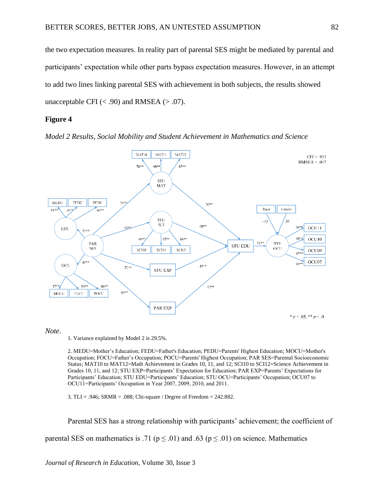the two expectation measures. In reality part of parental SES might be mediated by parental and participants' expectation while other parts bypass expectation measures. However, in an attempt to add two lines linking parental SES with achievement in both subjects, the results showed unacceptable CFI  $(< .90)$  and RMSEA  $(> .07)$ .

## **Figure 4**





*Note*.

1. Variance explained by Model 2 is 29.5%.

2. MEDU=Mother's Education; FEDU=Father's Education; PEDU=Parents' Highest Education; MOCU=Mother's Occupation; FOCU=Father's Occupation; POCU=Parents' Highest Occupation; PAR SES=Parental Socioeconomic Status; MAT10 to MAT12=Math Achievement in Grades 10, 11, and 12; SCI10 to SCI12=Science Achievement in Grades 10, 11, and 12; STU EXP=Participants' Expectation for Education; PAR EXP=Parents' Expectations for Participants' Education; STU EDU=Participants' Education; STU OCU=Participants' Occupation; OCU07 to OCU11=Participants' Occupation in Year 2007, 2009, 2010, and 2011.

3. TLI = .946; SRMR = .088; Chi-square / Degree of Freedom = 242.882.

Parental SES has a strong relationship with participants' achievement; the coefficient of

parental SES on mathematics is .71 ( $p \le 0.01$ ) and .63 ( $p \le 0.01$ ) on science. Mathematics

*Journal of Research in Education*, Volume 30, Issue 3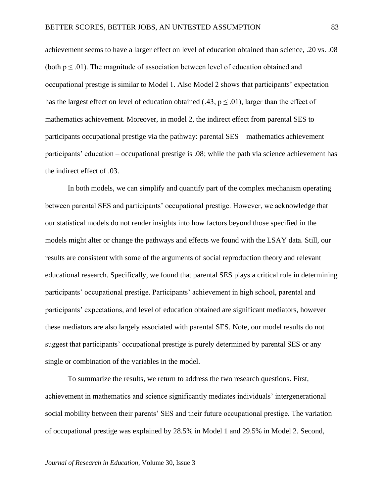achievement seems to have a larger effect on level of education obtained than science, .20 vs. .08 (both  $p \leq 0.01$ ). The magnitude of association between level of education obtained and occupational prestige is similar to Model 1. Also Model 2 shows that participants' expectation has the largest effect on level of education obtained (.43,  $p \le 0.01$ ), larger than the effect of mathematics achievement. Moreover, in model 2, the indirect effect from parental SES to participants occupational prestige via the pathway: parental SES – mathematics achievement – participants' education – occupational prestige is .08; while the path via science achievement has the indirect effect of .03.

In both models, we can simplify and quantify part of the complex mechanism operating between parental SES and participants' occupational prestige. However, we acknowledge that our statistical models do not render insights into how factors beyond those specified in the models might alter or change the pathways and effects we found with the LSAY data. Still, our results are consistent with some of the arguments of social reproduction theory and relevant educational research. Specifically, we found that parental SES plays a critical role in determining participants' occupational prestige. Participants' achievement in high school, parental and participants' expectations, and level of education obtained are significant mediators, however these mediators are also largely associated with parental SES. Note, our model results do not suggest that participants' occupational prestige is purely determined by parental SES or any single or combination of the variables in the model.

To summarize the results, we return to address the two research questions. First, achievement in mathematics and science significantly mediates individuals' intergenerational social mobility between their parents' SES and their future occupational prestige. The variation of occupational prestige was explained by 28.5% in Model 1 and 29.5% in Model 2. Second,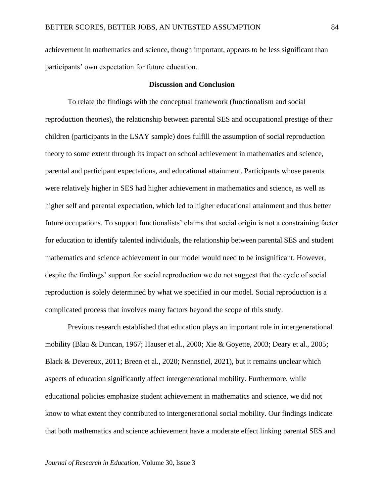achievement in mathematics and science, though important, appears to be less significant than participants' own expectation for future education.

#### **Discussion and Conclusion**

To relate the findings with the conceptual framework (functionalism and social reproduction theories), the relationship between parental SES and occupational prestige of their children (participants in the LSAY sample) does fulfill the assumption of social reproduction theory to some extent through its impact on school achievement in mathematics and science, parental and participant expectations, and educational attainment. Participants whose parents were relatively higher in SES had higher achievement in mathematics and science, as well as higher self and parental expectation, which led to higher educational attainment and thus better future occupations. To support functionalists' claims that social origin is not a constraining factor for education to identify talented individuals, the relationship between parental SES and student mathematics and science achievement in our model would need to be insignificant. However, despite the findings' support for social reproduction we do not suggest that the cycle of social reproduction is solely determined by what we specified in our model. Social reproduction is a complicated process that involves many factors beyond the scope of this study.

Previous research established that education plays an important role in intergenerational mobility (Blau & Duncan, 1967; Hauser et al., 2000; Xie & Goyette, 2003; Deary et al., 2005; Black & Devereux, 2011; Breen et al., 2020; Nennstiel, 2021), but it remains unclear which aspects of education significantly affect intergenerational mobility. Furthermore, while educational policies emphasize student achievement in mathematics and science, we did not know to what extent they contributed to intergenerational social mobility. Our findings indicate that both mathematics and science achievement have a moderate effect linking parental SES and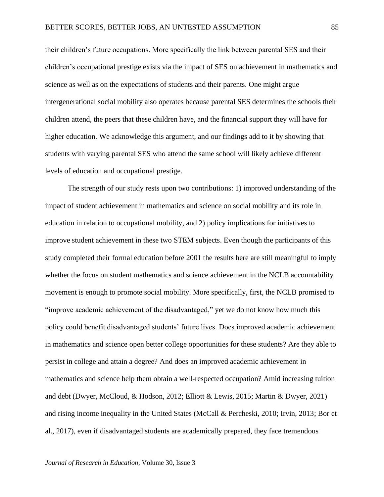their children's future occupations. More specifically the link between parental SES and their children's occupational prestige exists via the impact of SES on achievement in mathematics and science as well as on the expectations of students and their parents. One might argue intergenerational social mobility also operates because parental SES determines the schools their children attend, the peers that these children have, and the financial support they will have for higher education. We acknowledge this argument, and our findings add to it by showing that students with varying parental SES who attend the same school will likely achieve different levels of education and occupational prestige.

The strength of our study rests upon two contributions: 1) improved understanding of the impact of student achievement in mathematics and science on social mobility and its role in education in relation to occupational mobility, and 2) policy implications for initiatives to improve student achievement in these two STEM subjects. Even though the participants of this study completed their formal education before 2001 the results here are still meaningful to imply whether the focus on student mathematics and science achievement in the NCLB accountability movement is enough to promote social mobility. More specifically, first, the NCLB promised to "improve academic achievement of the disadvantaged," yet we do not know how much this policy could benefit disadvantaged students' future lives. Does improved academic achievement in mathematics and science open better college opportunities for these students? Are they able to persist in college and attain a degree? And does an improved academic achievement in mathematics and science help them obtain a well-respected occupation? Amid increasing tuition and debt (Dwyer, McCloud, & Hodson, 2012; Elliott & Lewis, 2015; Martin & Dwyer, 2021) and rising income inequality in the United States (McCall & Percheski, 2010; Irvin, 2013; Bor et al., 2017), even if disadvantaged students are academically prepared, they face tremendous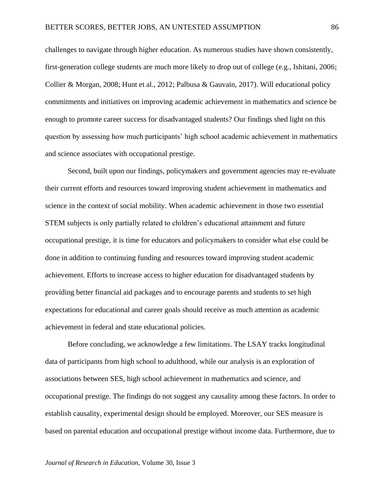challenges to navigate through higher education. As numerous studies have shown consistently, first-generation college students are much more likely to drop out of college (e.g., Ishitani, 2006; Collier & Morgan, 2008; Hunt et al., 2012; Palbusa & Gauvain, 2017). Will educational policy commitments and initiatives on improving academic achievement in mathematics and science be enough to promote career success for disadvantaged students? Our findings shed light on this question by assessing how much participants' high school academic achievement in mathematics and science associates with occupational prestige.

Second, built upon our findings, policymakers and government agencies may re-evaluate their current efforts and resources toward improving student achievement in mathematics and science in the context of social mobility. When academic achievement in those two essential STEM subjects is only partially related to children's educational attainment and future occupational prestige, it is time for educators and policymakers to consider what else could be done in addition to continuing funding and resources toward improving student academic achievement. Efforts to increase access to higher education for disadvantaged students by providing better financial aid packages and to encourage parents and students to set high expectations for educational and career goals should receive as much attention as academic achievement in federal and state educational policies.

Before concluding, we acknowledge a few limitations. The LSAY tracks longitudinal data of participants from high school to adulthood, while our analysis is an exploration of associations between SES, high school achievement in mathematics and science, and occupational prestige. The findings do not suggest any causality among these factors. In order to establish causality, experimental design should be employed. Moreover, our SES measure is based on parental education and occupational prestige without income data. Furthermore, due to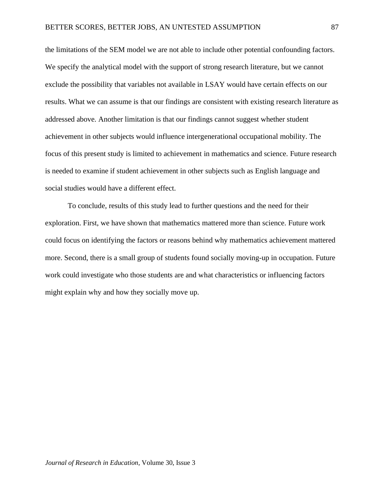the limitations of the SEM model we are not able to include other potential confounding factors. We specify the analytical model with the support of strong research literature, but we cannot exclude the possibility that variables not available in LSAY would have certain effects on our results. What we can assume is that our findings are consistent with existing research literature as addressed above. Another limitation is that our findings cannot suggest whether student achievement in other subjects would influence intergenerational occupational mobility. The focus of this present study is limited to achievement in mathematics and science. Future research is needed to examine if student achievement in other subjects such as English language and social studies would have a different effect.

To conclude, results of this study lead to further questions and the need for their exploration. First, we have shown that mathematics mattered more than science. Future work could focus on identifying the factors or reasons behind why mathematics achievement mattered more. Second, there is a small group of students found socially moving-up in occupation. Future work could investigate who those students are and what characteristics or influencing factors might explain why and how they socially move up.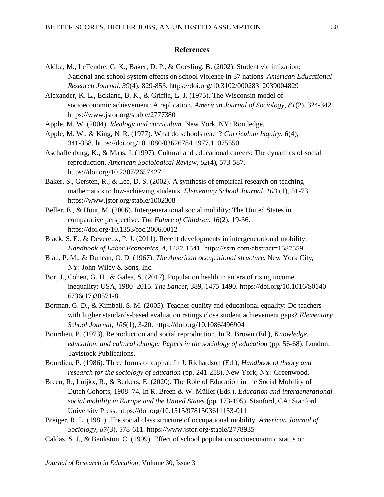#### **References**

- Akiba, M., LeTendre, G. K., Baker, D. P., & Goesling, B. (2002). Student victimization: National and school system effects on school violence in 37 nations. *American Educational Research Journal*, *39*(4), 829-853. https://doi.org/10.3102/00028312039004829
- Alexander, K. L., Eckland, B. K., & Griffin, L. J. (1975). The Wisconsin model of socioeconomic achievement: A replication. *American Journal of Sociology, 81*(2), 324-342. https://www.jstor.org/stable/2777380
- Apple, M. W. (2004). *Ideology and curriculum*. New York, NY: Routledge.
- Apple, M. W., & King, N. R. (1977). What do schools teach? *Curriculum Inquiry*, *6*(4), 341-358. https://doi.org/10.1080/03626784.1977.11075550
- Aschaffenburg, K., & Maas, I. (1997). Cultural and educational careers: The dynamics of social reproduction. *American Sociological Review, 62*(4), 573-587. https://doi.org/10.2307/2657427
- Baker, S., Gersten, R., & Lee, D. S. (2002). A synthesis of empirical research on teaching mathematics to low-achieving students. *Elementary School Journal*, *103* (1), 51-73. https://www.jstor.org/stable/1002308
- Beller, E., & Hout, M. (2006). Intergenerational social mobility: The United States in comparative perspective. *The Future of Children*, *16*(2), 19-36. https://doi.org/10.1353/foc.2006.0012
- Black, S. E., & Devereux, P. J. (2011). Recent developments in intergenerational mobility. *Handbook of Labor Economics*, *4*, 1487-1541. https://ssrn.com/abstract=1587559
- Blau, P. M., & Duncan, O. D. (1967). *The American occupational structure*. New York City, NY: John Wiley & Sons, Inc.
- Bor, J., Cohen, G. H., & Galea, S. (2017). Population health in an era of rising income inequality: USA, 1980–2015. *The Lancet*, 389, 1475-1490. https://doi.org/10.1016/S0140- 6736(17)30571-8
- Borman, G. D., & Kimball, S. M. (2005). Teacher quality and educational equality: Do teachers with higher standards-based evaluation ratings close student achievement gaps? *Elementary School Journal, 106*(1), 3-20. https://doi.org/10.1086/496904
- Bourdieu, P. (1973). Reproduction and social reproduction. In R. Brown (Ed.), *Knowledge, education, and cultural change: Papers in the sociology of education* (pp. 56-68). London: Tavistock Publications.
- Bourdieu, P. (1986). Three forms of capital. In J. Richardson (Ed.), *Handbook of theory and research for the sociology of education* (pp. 241-258). New York, NY: Greenwood.
- Breen, R., Luijkx, R., & Berkers, E. (2020). The Role of Education in the Social Mobility of Dutch Cohorts, 1908–74. In R. Breen & W. Müller (Eds.), *Education and intergenerational social mobility in Europe and the United States* (pp. 173-195). Stanford, CA: Stanford University Press. https://doi.org/10.1515/9781503611153-011
- Breiger, R. L. (1981). The social class structure of occupational mobility. *American Journal of Sociology, 87*(3), 578-611. https://www.jstor.org/stable/2778935
- Caldas, S. J., & Bankston, C. (1999). Effect of school population socioeconomic status on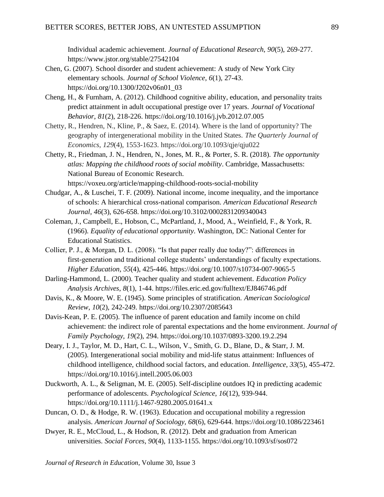Individual academic achievement. *Journal of Educational Research, 90*(5), 269-277. https://www.jstor.org/stable/27542104

- Chen, G. (2007). School disorder and student achievement: A study of New York City elementary schools. *Journal of School Violence*, *6*(1), 27-43. https://doi.org/10.1300/J202v06n01\_03
- Cheng, H., & Furnham, A. (2012). Childhood cognitive ability, education, and personality traits predict attainment in adult occupational prestige over 17 years. *Journal of Vocational Behavior*, *81*(2), 218-226. https://doi.org/10.1016/j.jvb.2012.07.005
- Chetty, R., Hendren, N., Kline, P., & Saez, E. (2014). Where is the land of opportunity? The geography of intergenerational mobility in the United States. *The Quarterly Journal of Economics*, *129*(4), 1553-1623. https://doi.org/10.1093/qje/qju022
- Chetty, R., Friedman, J. N., Hendren, N., Jones, M. R., & Porter, S. R. (2018). *The opportunity atlas: Mapping the childhood roots of social mobility*. Cambridge, Massachusetts: National Bureau of Economic Research. https://voxeu.org/article/mapping-childhood-roots-social-mobility
- Chudgar, A., & Luschei, T. F. (2009). National income, income inequality, and the importance of schools: A hierarchical cross-national comparison. *American Educational Research Journal, 46*(3), 626-658. https://doi.org/10.3102/0002831209340043
- Coleman, J., Campbell, E., Hobson, C., McPartland, J., Mood, A., Weinfield, F., & York, R. (1966). *Equality of educational opportunity*. Washington, DC: National Center for Educational Statistics.
- Collier, P. J., & Morgan, D. L. (2008). "Is that paper really due today?": differences in first-generation and traditional college students' understandings of faculty expectations. *Higher Education*, *55*(4), 425-446. https://doi.org/10.1007/s10734-007-9065-5
- Darling-Hammond, L. (2000). Teacher quality and student achievement. *Education Policy Analysis Archives*, *8*(1), 1-44. https://files.eric.ed.gov/fulltext/EJ846746.pdf
- Davis, K., & Moore, W. E. (1945). Some principles of stratification. *American Sociological Review*, *10*(2), 242-249. https://doi.org/10.2307/2085643
- Davis-Kean, P. E. (2005). The influence of parent education and family income on child achievement: the indirect role of parental expectations and the home environment. *Journal of Family Psychology, 19*(2), 294. https://doi.org/10.1037/0893-3200.19.2.294
- Deary, I. J., Taylor, M. D., Hart, C. L., Wilson, V., Smith, G. D., Blane, D., & Starr, J. M. (2005). Intergenerational social mobility and mid-life status attainment: Influences of childhood intelligence, childhood social factors, and education. *Intelligence*, *33*(5), 455-472. https://doi.org/10.1016/j.intell.2005.06.003
- Duckworth, A. L., & Seligman, M. E. (2005). Self-discipline outdoes IQ in predicting academic performance of adolescents. *Psychological Science*, *16*(12), 939-944. https://doi.org/10.1111/j.1467-9280.2005.01641.x
- Duncan, O. D., & Hodge, R. W. (1963). Education and occupational mobility a regression analysis. *American Journal of Sociology, 68*(6), 629-644. https://doi.org/10.1086/223461
- Dwyer, R. E., McCloud, L., & Hodson, R. (2012). Debt and graduation from American universities. *Social Forces*, *90*(4), 1133-1155. https://doi.org/10.1093/sf/sos072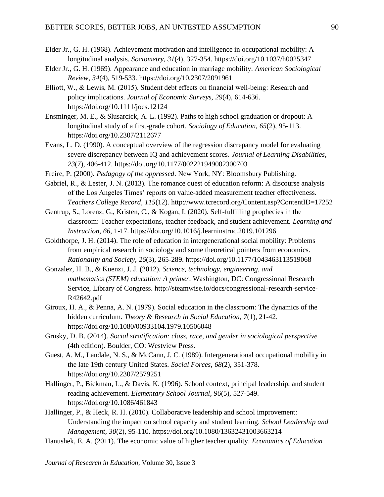- Elder Jr., G. H. (1968). Achievement motivation and intelligence in occupational mobility: A longitudinal analysis. *Sociometry, 31*(4), 327-354. https://doi.org/10.1037/h0025347
- Elder Jr., G. H. (1969). Appearance and education in marriage mobility. *American Sociological Review, 34*(4), 519-533. https://doi.org/10.2307/2091961
- Elliott, W., & Lewis, M. (2015). Student debt effects on financial well‐being: Research and policy implications. *Journal of Economic Surveys, 29*(4), 614-636. https://doi.org/10.1111/joes.12124
- Ensminger, M. E., & Slusarcick, A. L. (1992). Paths to high school graduation or dropout: A longitudinal study of a first-grade cohort. *Sociology of Education, 65*(2), 95-113. https://doi.org/10.2307/2112677
- Evans, L. D. (1990). A conceptual overview of the regression discrepancy model for evaluating severe discrepancy between IQ and achievement scores. *Journal of Learning Disabilities*, *23*(7), 406-412. https://doi.org/10.1177/002221949002300703
- Freire, P. (2000). *Pedagogy of the oppressed*. New York, NY: Bloomsbury Publishing.
- Gabriel, R., & Lester, J. N. (2013). The romance quest of education reform: A discourse analysis of the Los Angeles Times' reports on value-added measurement teacher effectiveness. *Teachers College Record*, *115*(12). http://www.tcrecord.org/Content.asp?ContentID=17252
- Gentrup, S., Lorenz, G., Kristen, C., & Kogan, I. (2020). Self-fulfilling prophecies in the classroom: Teacher expectations, teacher feedback, and student achievement. *Learning and Instruction, 66*, 1-17. https://doi.org/10.1016/j.learninstruc.2019.101296
- Goldthorpe, J. H. (2014). The role of education in intergenerational social mobility: Problems from empirical research in sociology and some theoretical pointers from economics. *Rationality and Society*, *26*(3), 265-289. https://doi.org/10.1177/1043463113519068
- Gonzalez, H. B., & Kuenzi, J. J. (2012). *Science, technology, engineering, and mathematics (STEM) education: A primer*. Washington, DC: Congressional Research Service, Library of Congress. http://steamwise.io/docs/congressional-research-service-R42642.pdf
- Giroux, H. A., & Penna, A. N. (1979). Social education in the classroom: The dynamics of the hidden curriculum. *Theory & Research in Social Education*, *7*(1), 21-42. https://doi.org/10.1080/00933104.1979.10506048
- Grusky, D. B. (2014). *Social stratification: class, race, and gender in sociological perspective* (4th edition). Boulder, CO: Westview Press.
- Guest, A. M., Landale, N. S., & McCann, J. C. (1989). Intergenerational occupational mobility in the late 19th century United States. *Social Forces*, *68*(2), 351-378. https://doi.org/10.2307/2579251
- Hallinger, P., Bickman, L., & Davis, K. (1996). School context, principal leadership, and student reading achievement. *Elementary School Journal, 96*(5), 527-549. https://doi.org/10.1086/461843
- Hallinger, P., & Heck, R. H. (2010). Collaborative leadership and school improvement: Understanding the impact on school capacity and student learning. *School Leadership and Management, 30*(2), 95-110. https://doi.org/10.1080/13632431003663214
- Hanushek, E. A. (2011). The economic value of higher teacher quality. *Economics of Education*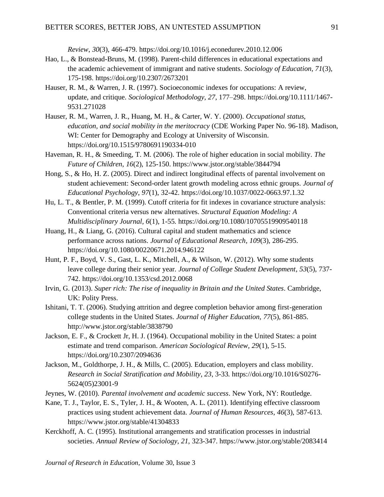*Review*, *30*(3), 466-479. https://doi.org/10.1016/j.econedurev.2010.12.006

- Hao, L., & Bonstead-Bruns, M. (1998). Parent-child differences in educational expectations and the academic achievement of immigrant and native students. *Sociology of Education, 71*(3), 175-198. https://doi.org/10.2307/2673201
- Hauser, R. M., & Warren, J. R. (1997). Socioeconomic indexes for occupations: A review, update, and critique. *Sociological Methodology, 27*, 177–298. https://doi.org/10.1111/1467- 9531.271028
- Hauser, R. M., Warren, J. R., Huang, M. H., & Carter, W. Y. (2000). *Occupational status, education, and social mobility in the meritocracy* (CDE Working Paper No. 96-18). Madison, WI: Center for Demography and Ecology at University of Wisconsin. https://doi.org/10.1515/9780691190334-010
- Haveman, R. H., & Smeeding, T. M. (2006). The role of higher education in social mobility. *The Future of Children*, *16*(2), 125-150. https://www.jstor.org/stable/3844794
- Hong, S., & Ho, H. Z. (2005). Direct and indirect longitudinal effects of parental involvement on student achievement: Second-order latent growth modeling across ethnic groups. *Journal of Educational Psychology*, *97*(1), 32-42. https://doi.org/10.1037/0022-0663.97.1.32
- Hu, L. T., & Bentler, P. M. (1999). Cutoff criteria for fit indexes in covariance structure analysis: Conventional criteria versus new alternatives. *Structural Equation Modeling: A Multidisciplinary Journal, 6*(1), 1-55. https://doi.org/10.1080/10705519909540118
- Huang, H., & Liang, G. (2016). Cultural capital and student mathematics and science performance across nations. *Journal of Educational Research, 109*(3), 286-295. https://doi.org/10.1080/00220671.2014.946122
- Hunt, P. F., Boyd, V. S., Gast, L. K., Mitchell, A., & Wilson, W. (2012). Why some students leave college during their senior year. *Journal of College Student Development*, *53*(5), 737- 742. https://doi.org/10.1353/csd.2012.0068
- Irvin, G. (2013). *Super rich: The rise of inequality in Britain and the United States*. Cambridge, UK: Polity Press.
- Ishitani, T. T. (2006). Studying attrition and degree completion behavior among first-generation college students in the United States. *Journal of Higher Education, 77*(5), 861-885. http://www.jstor.org/stable/3838790
- Jackson, E. F., & Crockett Jr, H. J. (1964). Occupational mobility in the United States: a point estimate and trend comparison. *American Sociological Review, 29*(1), 5-15. https://doi.org/10.2307/2094636
- Jackson, M., Goldthorpe, J. H., & Mills, C. (2005). Education, employers and class mobility. *Research in Social Stratification and Mobility*, *23*, 3-33. https://doi.org/10.1016/S0276- 5624(05)23001-9
- Jeynes, W. (2010). *Parental involvement and academic success*. New York, NY: Routledge.
- Kane, T. J., Taylor, E. S., Tyler, J. H., & Wooten, A. L. (2011). Identifying effective classroom practices using student achievement data. *Journal of Human Resources*, *46*(3), 587-613. https://www.jstor.org/stable/41304833
- Kerckhoff, A. C. (1995). Institutional arrangements and stratification processes in industrial societies. *Annual Review of Sociology, 21*, 323-347. https://www.jstor.org/stable/2083414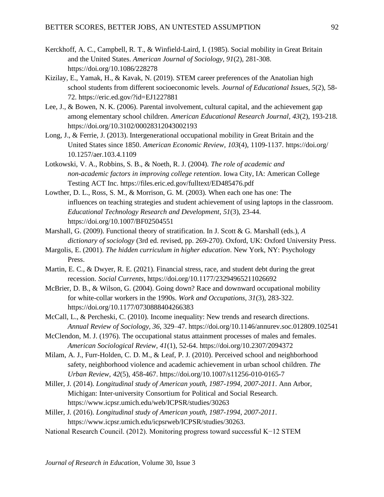- Kerckhoff, A. C., Campbell, R. T., & Winfield-Laird, I. (1985). Social mobility in Great Britain and the United States. *American Journal of Sociology, 91*(2), 281-308. https://doi.org/10.1086/228278
- Kizilay, E., Yamak, H., & Kavak, N. (2019). STEM career preferences of the Anatolian high school students from different socioeconomic levels. *Journal of Educational Issues, 5*(2), 58- 72. https://eric.ed.gov/?id=EJ1227881
- Lee, J., & Bowen, N. K. (2006). Parental involvement, cultural capital, and the achievement gap among elementary school children. *American Educational Research Journal, 43*(2), 193-218. https://doi.org/10.3102/00028312043002193
- Long, J., & Ferrie, J. (2013). Intergenerational occupational mobility in Great Britain and the United States since 1850. *American Economic Review*, *103*(4), 1109-1137. https://doi.org/ 10.1257/aer.103.4.1109
- Lotkowski, V. A., Robbins, S. B., & Noeth, R. J. (2004). *The role of academic and non-academic factors in improving college retention*. Iowa City, IA: American College Testing ACT Inc. https://files.eric.ed.gov/fulltext/ED485476.pdf
- Lowther, D. L., Ross, S. M., & Morrison, G. M. (2003). When each one has one: The influences on teaching strategies and student achievement of using laptops in the classroom. *Educational Technology Research and Development*, *51*(3), 23-44. https://doi.org/10.1007/BF02504551
- Marshall, G. (2009). Functional theory of stratification. In J. Scott & G. Marshall (eds.), *A dictionary of sociology* (3rd ed. revised, pp. 269-270). Oxford, UK: Oxford University Press.
- Margolis, E. (2001). *The hidden curriculum in higher education*. New York, NY: Psychology Press.
- Martin, E. C., & Dwyer, R. E. (2021). Financial stress, race, and student debt during the great recession. *Social Currents*, https://doi.org/10.1177/23294965211026692
- McBrier, D. B., & Wilson, G. (2004). Going down? Race and downward occupational mobility for white-collar workers in the 1990s. *Work and Occupations, 31*(3), 283-322. https://doi.org/10.1177/0730888404266383
- McCall, L., & Percheski, C. (2010). Income inequality: New trends and research directions. *Annual Review of Sociology, 36*, 329–47. https://doi.org/10.1146/annurev.soc.012809.102541
- McClendon, M. J. (1976). The occupational status attainment processes of males and females. *American Sociological Review, 41*(1), 52-64. https://doi.org/10.2307/2094372
- Milam, A. J., Furr-Holden, C. D. M., & Leaf, P. J. (2010). Perceived school and neighborhood safety, neighborhood violence and academic achievement in urban school children. *The Urban Review*, *42*(5), 458-467. https://doi.org/10.1007/s11256-010-0165-7
- Miller, J. (2014). *Longitudinal study of American youth, 1987-1994, 2007-2011*. Ann Arbor, Michigan: Inter-university Consortium for Political and Social Research. https://www.icpsr.umich.edu/web/ICPSR/studies/30263
- Miller, J. (2016). *Longitudinal study of American youth, 1987-1994, 2007-2011*. https://www.icpsr.umich.edu/icpsrweb/ICPSR/studies/30263.
- National Research Council. (2012). Monitoring progress toward successful K−12 STEM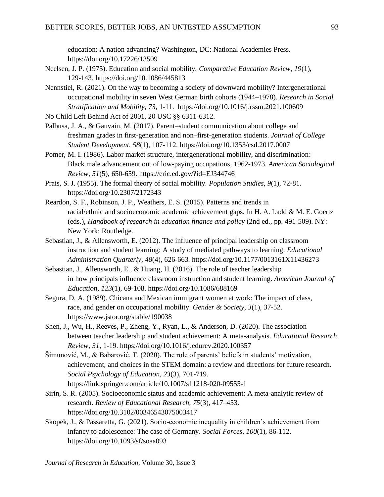education: A nation advancing? Washington, DC: National Academies Press. https://doi.org/10.17226/13509

- Neelsen, J. P. (1975). Education and social mobility. *Comparative Education Review, 19*(1), 129-143. https://doi.org/10.1086/445813
- Nennstiel, R. (2021). On the way to becoming a society of downward mobility? Intergenerational occupational mobility in seven West German birth cohorts (1944–1978). *Research in Social Stratification and Mobility, 73*, 1-11. https://doi.org/10.1016/j.rssm.2021.100609
- No Child Left Behind Act of 2001, 20 USC §§ 6311-6312.
- Palbusa, J. A., & Gauvain, M. (2017). Parent–student communication about college and freshman grades in first-generation and non–first-generation students. *Journal of College Student Development, 58*(1), 107-112. https://doi.org/10.1353/csd.2017.0007
- Pomer, M. I. (1986). Labor market structure, intergenerational mobility, and discrimination: Black male advancement out of low-paying occupations, 1962-1973. *American Sociological Review, 51*(5), 650-659. https://eric.ed.gov/?id=EJ344746
- Prais, S. J. (1955). The formal theory of social mobility. *Population Studies*, *9*(1), 72-81. https://doi.org/10.2307/2172343
- Reardon, S. F., Robinson, J. P., Weathers, E. S. (2015). Patterns and trends in racial/ethnic and socioeconomic academic achievement gaps. In H. A. Ladd & M. E. Goertz (eds.), *Handbook of research in education finance and policy* (2nd ed., pp. 491-509). NY: New York: Routledge.
- Sebastian, J., & Allensworth, E. (2012). The influence of principal leadership on classroom instruction and student learning: A study of mediated pathways to learning. *Educational Administration Quarterly*, *48*(4), 626-663. https://doi.org/10.1177/0013161X11436273
- Sebastian, J., Allensworth, E., & Huang, H. (2016). The role of teacher leadership in how principals influence classroom instruction and student learning. *American Journal of Education*, *123*(1), 69-108. https://doi.org/10.1086/688169
- Segura, D. A. (1989). Chicana and Mexican immigrant women at work: The impact of class, race, and gender on occupational mobility. *Gender & Society, 3*(1), 37-52. https://www.jstor.org/stable/190038
- Shen, J., Wu, H., Reeves, P., Zheng, Y., Ryan, L., & Anderson, D. (2020). The association between teacher leadership and student achievement: A meta-analysis. *Educational Research Review, 31*, 1-19. https://doi.org/10.1016/j.edurev.2020.100357
- Šimunović, M., & Babarović, T. (2020). The role of parents' beliefs in students' motivation, achievement, and choices in the STEM domain: a review and directions for future research. *Social Psychology of Education, 23*(3), 701-719. https://link.springer.com/article/10.1007/s11218-020-09555-1
- Sirin, S. R. (2005). Socioeconomic status and academic achievement: A meta-analytic review of research. *Review of Educational Research, 75*(3), 417–453. https://doi.org/10.3102/00346543075003417
- Skopek, J., & Passaretta, G. (2021). Socio-economic inequality in children's achievement from infancy to adolescence: The case of Germany. *Social Forces*, *100*(1), 86-112. https://doi.org/10.1093/sf/soaa093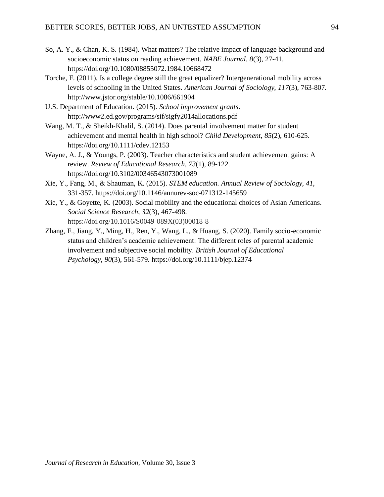- So, A. Y., & Chan, K. S. (1984). What matters? The relative impact of language background and socioeconomic status on reading achievement. *NABE Journal, 8*(3), 27-41. https://doi.org/10.1080/08855072.1984.10668472
- Torche, F. (2011). Is a college degree still the great equalizer? Intergenerational mobility across levels of schooling in the United States. *American Journal of Sociology*, *117*(3), 763-807. http://www.jstor.org/stable/10.1086/661904
- U.S. Department of Education. (2015). *School improvement grants*. http://www2.ed.gov/programs/sif/sigfy2014allocations.pdf
- Wang, M. T., & Sheikh-Khalil, S. (2014). Does parental involvement matter for student achievement and mental health in high school? *Child Development*, *85*(2), 610-625. https://doi.org/10.1111/cdev.12153
- Wayne, A. J., & Youngs, P. (2003). Teacher characteristics and student achievement gains: A review. *Review of Educational Research*, *73*(1), 89-122. https://doi.org/10.3102/00346543073001089
- Xie, Y., Fang, M., & Shauman, K. (2015). *STEM education. Annual Review of Sociology, 41*, 331-357. https://doi.org/10.1146/annurev-soc-071312-145659
- Xie, Y., & Goyette, K. (2003). Social mobility and the educational choices of Asian Americans. *Social Science Research*, *32*(3), 467-498. https://doi.org/10.1016/S0049-089X(03)00018-8
- Zhang, F., Jiang, Y., Ming, H., Ren, Y., Wang, L., & Huang, S. (2020). Family socio-economic status and children's academic achievement: The different roles of parental academic involvement and subjective social mobility. *British Journal of Educational Psychology*, *90*(3), 561-579. https://doi.org/10.1111/bjep.12374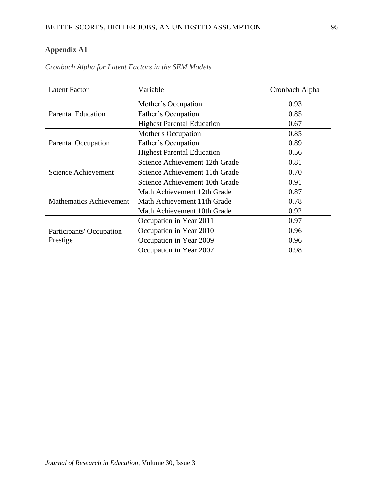## **Appendix A1**

| <b>Latent Factor</b>           | Variable                          | Cronbach Alpha |
|--------------------------------|-----------------------------------|----------------|
|                                | Mother's Occupation               | 0.93           |
| Parental Education             | Father's Occupation               | 0.85           |
|                                | <b>Highest Parental Education</b> | 0.67           |
|                                | <b>Mother's Occupation</b>        | 0.85           |
| <b>Parental Occupation</b>     | Father's Occupation               | 0.89           |
|                                | <b>Highest Parental Education</b> | 0.56           |
|                                | Science Achievement 12th Grade    | 0.81           |
| Science Achievement            | Science Achievement 11th Grade    | 0.70           |
|                                | Science Achievement 10th Grade    | 0.91           |
|                                | Math Achievement 12th Grade       | 0.87           |
| <b>Mathematics Achievement</b> | Math Achievement 11th Grade       | 0.78           |
|                                | Math Achievement 10th Grade       | 0.92           |
|                                | Occupation in Year 2011           | 0.97           |
| Participants' Occupation       | Occupation in Year 2010           | 0.96           |
| Prestige                       | Occupation in Year 2009           | 0.96           |
|                                | Occupation in Year 2007           | 0.98           |

*Cronbach Alpha for Latent Factors in the SEM Models*